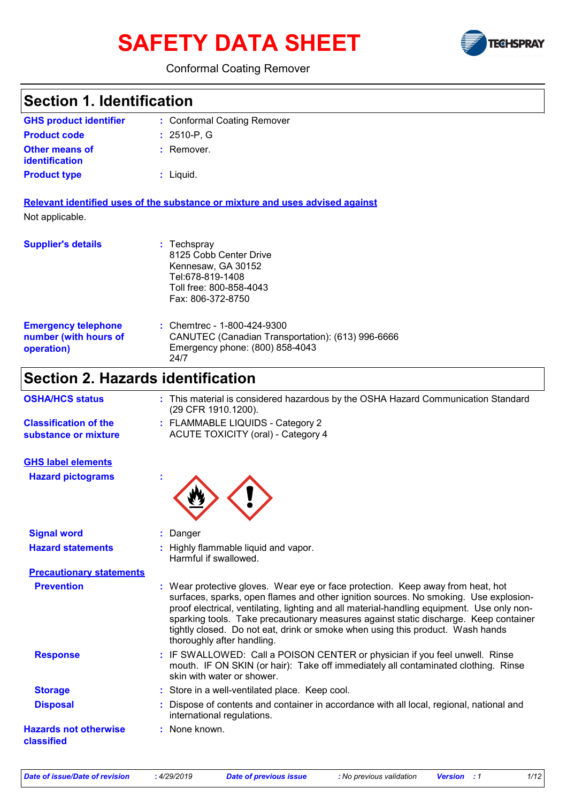# **SAFETY DATA SHEET**



### Conformal Coating Remover

| <b>Section 1. Identification</b>                                  |                                                                                                                                                                                                                                                                                                                                                                                                                                                                               |
|-------------------------------------------------------------------|-------------------------------------------------------------------------------------------------------------------------------------------------------------------------------------------------------------------------------------------------------------------------------------------------------------------------------------------------------------------------------------------------------------------------------------------------------------------------------|
| <b>GHS product identifier</b>                                     | : Conformal Coating Remover                                                                                                                                                                                                                                                                                                                                                                                                                                                   |
| <b>Product code</b>                                               | $: 2510-P, G$                                                                                                                                                                                                                                                                                                                                                                                                                                                                 |
| <b>Other means of</b><br>identification                           | : Remover.                                                                                                                                                                                                                                                                                                                                                                                                                                                                    |
| <b>Product type</b>                                               | : Liquid.                                                                                                                                                                                                                                                                                                                                                                                                                                                                     |
|                                                                   | Relevant identified uses of the substance or mixture and uses advised against                                                                                                                                                                                                                                                                                                                                                                                                 |
| Not applicable.                                                   |                                                                                                                                                                                                                                                                                                                                                                                                                                                                               |
| <b>Supplier's details</b>                                         | : Techspray<br>8125 Cobb Center Drive<br>Kennesaw, GA 30152<br>Tel:678-819-1408<br>Toll free: 800-858-4043<br>Fax: 806-372-8750                                                                                                                                                                                                                                                                                                                                               |
| <b>Emergency telephone</b><br>number (with hours of<br>operation) | Chemtrec - 1-800-424-9300<br>CANUTEC (Canadian Transportation): (613) 996-6666<br>Emergency phone: (800) 858-4043<br>24/7                                                                                                                                                                                                                                                                                                                                                     |
| <b>Section 2. Hazards identification</b>                          |                                                                                                                                                                                                                                                                                                                                                                                                                                                                               |
| <b>OSHA/HCS status</b>                                            | : This material is considered hazardous by the OSHA Hazard Communication Standard<br>(29 CFR 1910.1200).                                                                                                                                                                                                                                                                                                                                                                      |
| <b>Classification of the</b><br>substance or mixture              | : FLAMMABLE LIQUIDS - Category 2<br>ACUTE TOXICITY (oral) - Category 4                                                                                                                                                                                                                                                                                                                                                                                                        |
| <b>GHS label elements</b>                                         |                                                                                                                                                                                                                                                                                                                                                                                                                                                                               |
| <b>Hazard pictograms</b>                                          |                                                                                                                                                                                                                                                                                                                                                                                                                                                                               |
| <b>Signal word</b>                                                | Danger                                                                                                                                                                                                                                                                                                                                                                                                                                                                        |
| <b>Hazard statements</b>                                          | Highly flammable liquid and vapor.<br>Harmful if swallowed.                                                                                                                                                                                                                                                                                                                                                                                                                   |
| <b>Precautionary statements</b>                                   |                                                                                                                                                                                                                                                                                                                                                                                                                                                                               |
| <b>Prevention</b>                                                 | : Wear protective gloves. Wear eye or face protection. Keep away from heat, hot<br>surfaces, sparks, open flames and other ignition sources. No smoking. Use explosion-<br>proof electrical, ventilating, lighting and all material-handling equipment. Use only non-<br>sparking tools. Take precautionary measures against static discharge. Keep container<br>tightly closed. Do not eat, drink or smoke when using this product. Wash hands<br>thoroughly after handling. |
| <b>Response</b>                                                   | : IF SWALLOWED: Call a POISON CENTER or physician if you feel unwell. Rinse<br>mouth. IF ON SKIN (or hair): Take off immediately all contaminated clothing. Rinse<br>skin with water or shower.                                                                                                                                                                                                                                                                               |
| <b>Storage</b>                                                    | : Store in a well-ventilated place. Keep cool.                                                                                                                                                                                                                                                                                                                                                                                                                                |
| <b>Disposal</b>                                                   | Dispose of contents and container in accordance with all local, regional, national and<br>international regulations.                                                                                                                                                                                                                                                                                                                                                          |
| <b>Hazards not otherwise</b><br>classified                        | : None known.                                                                                                                                                                                                                                                                                                                                                                                                                                                                 |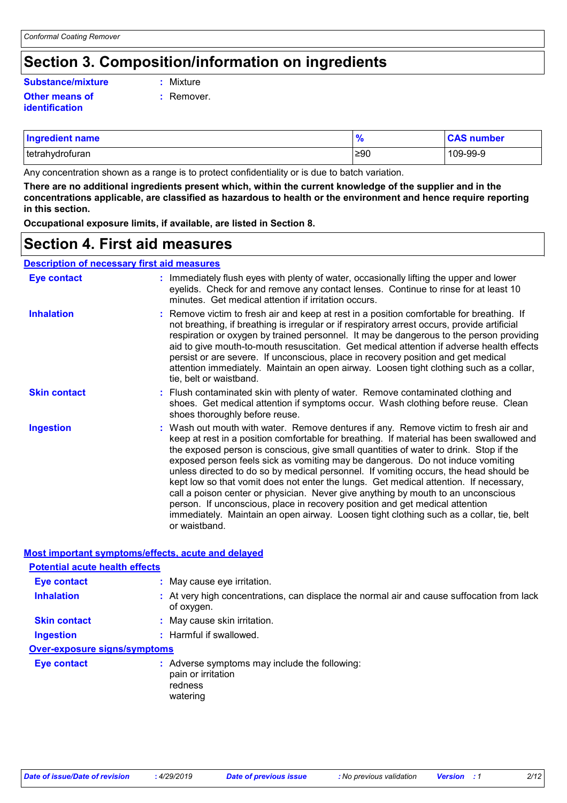# **Section 3. Composition/information on ingredients**

### **Other means of identification Substance/mixture :**

- : Mixture
- **:** Remover.

| <b>Ingredient name</b> |     | <b>CAS number</b> |
|------------------------|-----|-------------------|
| tetrahydrofuran        | ≥90 | 109-99-9          |

Any concentration shown as a range is to protect confidentiality or is due to batch variation.

**There are no additional ingredients present which, within the current knowledge of the supplier and in the concentrations applicable, are classified as hazardous to health or the environment and hence require reporting in this section.**

**Occupational exposure limits, if available, are listed in Section 8.**

**Most important symptoms/effects, acute and delayed**

### **Section 4. First aid measures**

### **Description of necessary first aid measures**

| Eye contact         | : Immediately flush eyes with plenty of water, occasionally lifting the upper and lower<br>eyelids. Check for and remove any contact lenses. Continue to rinse for at least 10<br>minutes. Get medical attention if irritation occurs.                                                                                                                                                                                                                                                                                                                                                                                                                                                                                                                                                                                        |
|---------------------|-------------------------------------------------------------------------------------------------------------------------------------------------------------------------------------------------------------------------------------------------------------------------------------------------------------------------------------------------------------------------------------------------------------------------------------------------------------------------------------------------------------------------------------------------------------------------------------------------------------------------------------------------------------------------------------------------------------------------------------------------------------------------------------------------------------------------------|
| <b>Inhalation</b>   | : Remove victim to fresh air and keep at rest in a position comfortable for breathing. If<br>not breathing, if breathing is irregular or if respiratory arrest occurs, provide artificial<br>respiration or oxygen by trained personnel. It may be dangerous to the person providing<br>aid to give mouth-to-mouth resuscitation. Get medical attention if adverse health effects<br>persist or are severe. If unconscious, place in recovery position and get medical<br>attention immediately. Maintain an open airway. Loosen tight clothing such as a collar,<br>tie, belt or waistband.                                                                                                                                                                                                                                  |
| <b>Skin contact</b> | : Flush contaminated skin with plenty of water. Remove contaminated clothing and<br>shoes. Get medical attention if symptoms occur. Wash clothing before reuse. Clean<br>shoes thoroughly before reuse.                                                                                                                                                                                                                                                                                                                                                                                                                                                                                                                                                                                                                       |
| <b>Ingestion</b>    | : Wash out mouth with water. Remove dentures if any. Remove victim to fresh air and<br>keep at rest in a position comfortable for breathing. If material has been swallowed and<br>the exposed person is conscious, give small quantities of water to drink. Stop if the<br>exposed person feels sick as vomiting may be dangerous. Do not induce vomiting<br>unless directed to do so by medical personnel. If vomiting occurs, the head should be<br>kept low so that vomit does not enter the lungs. Get medical attention. If necessary,<br>call a poison center or physician. Never give anything by mouth to an unconscious<br>person. If unconscious, place in recovery position and get medical attention<br>immediately. Maintain an open airway. Loosen tight clothing such as a collar, tie, belt<br>or waistband. |

| <u>MOST important symptoms/enects, acute and delayed</u>                                                 |  |  |  |
|----------------------------------------------------------------------------------------------------------|--|--|--|
|                                                                                                          |  |  |  |
| : May cause eye irritation.                                                                              |  |  |  |
| : At very high concentrations, can displace the normal air and cause suffocation from lack<br>of oxygen. |  |  |  |
| : May cause skin irritation.                                                                             |  |  |  |
| : Harmful if swallowed.                                                                                  |  |  |  |
| <b>Over-exposure signs/symptoms</b>                                                                      |  |  |  |
| : Adverse symptoms may include the following:<br>pain or irritation<br>redness<br>watering               |  |  |  |
|                                                                                                          |  |  |  |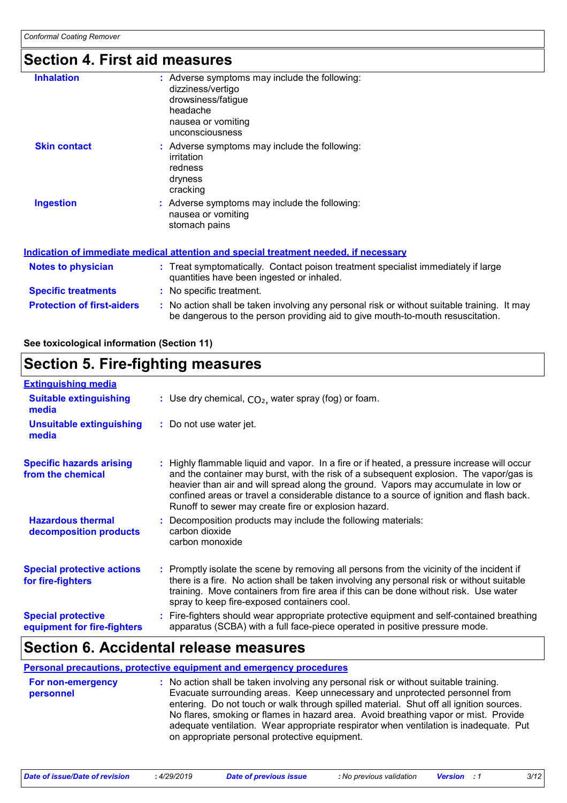# **Section 4. First aid measures**

| <b>Inhalation</b>                                                                    | : Adverse symptoms may include the following:<br>dizziness/vertigo<br>drowsiness/fatigue<br>headache<br>nausea or vomiting<br>unconsciousness |  |  |  |
|--------------------------------------------------------------------------------------|-----------------------------------------------------------------------------------------------------------------------------------------------|--|--|--|
| <b>Skin contact</b>                                                                  | : Adverse symptoms may include the following:<br>irritation<br>redness<br>dryness<br>cracking                                                 |  |  |  |
| <b>Ingestion</b>                                                                     | : Adverse symptoms may include the following:<br>nausea or vomiting<br>stomach pains                                                          |  |  |  |
| Indication of immediate medical attention and special treatment needed. if necessarv |                                                                                                                                               |  |  |  |

| <b>Notes to physician</b>         | : Treat symptomatically. Contact poison treatment specialist immediately if large<br>quantities have been ingested or inhaled.                                                |
|-----------------------------------|-------------------------------------------------------------------------------------------------------------------------------------------------------------------------------|
| <b>Specific treatments</b>        | : No specific treatment.                                                                                                                                                      |
| <b>Protection of first-aiders</b> | : No action shall be taken involving any personal risk or without suitable training. It may<br>be dangerous to the person providing aid to give mouth-to-mouth resuscitation. |

### **See toxicological information (Section 11)**

# **Section 5. Fire-fighting measures**

| <b>Extinguishing media</b>                               |                                                                                                                                                                                                                                                                                                                                                                                                                                 |
|----------------------------------------------------------|---------------------------------------------------------------------------------------------------------------------------------------------------------------------------------------------------------------------------------------------------------------------------------------------------------------------------------------------------------------------------------------------------------------------------------|
| <b>Suitable extinguishing</b><br>media                   | : Use dry chemical, $CO2$ , water spray (fog) or foam.                                                                                                                                                                                                                                                                                                                                                                          |
| Unsuitable extinguishing<br>media                        | : Do not use water jet.                                                                                                                                                                                                                                                                                                                                                                                                         |
| <b>Specific hazards arising</b><br>from the chemical     | : Highly flammable liquid and vapor. In a fire or if heated, a pressure increase will occur<br>and the container may burst, with the risk of a subsequent explosion. The vapor/gas is<br>heavier than air and will spread along the ground. Vapors may accumulate in low or<br>confined areas or travel a considerable distance to a source of ignition and flash back.<br>Runoff to sewer may create fire or explosion hazard. |
| <b>Hazardous thermal</b><br>decomposition products       | Decomposition products may include the following materials:<br>carbon dioxide<br>carbon monoxide                                                                                                                                                                                                                                                                                                                                |
| <b>Special protective actions</b><br>for fire-fighters   | : Promptly isolate the scene by removing all persons from the vicinity of the incident if<br>there is a fire. No action shall be taken involving any personal risk or without suitable<br>training. Move containers from fire area if this can be done without risk. Use water<br>spray to keep fire-exposed containers cool.                                                                                                   |
| <b>Special protective</b><br>equipment for fire-fighters | Fire-fighters should wear appropriate protective equipment and self-contained breathing<br>apparatus (SCBA) with a full face-piece operated in positive pressure mode.                                                                                                                                                                                                                                                          |

# **Section 6. Accidental release measures**

|                                | <b>Personal precautions, protective equipment and emergency procedures</b>                                                                                                                                                                                                                                                                                                                                                                                                                      |
|--------------------------------|-------------------------------------------------------------------------------------------------------------------------------------------------------------------------------------------------------------------------------------------------------------------------------------------------------------------------------------------------------------------------------------------------------------------------------------------------------------------------------------------------|
| For non-emergency<br>personnel | : No action shall be taken involving any personal risk or without suitable training.<br>Evacuate surrounding areas. Keep unnecessary and unprotected personnel from<br>entering. Do not touch or walk through spilled material. Shut off all ignition sources.<br>No flares, smoking or flames in hazard area. Avoid breathing vapor or mist. Provide<br>adequate ventilation. Wear appropriate respirator when ventilation is inadequate. Put<br>on appropriate personal protective equipment. |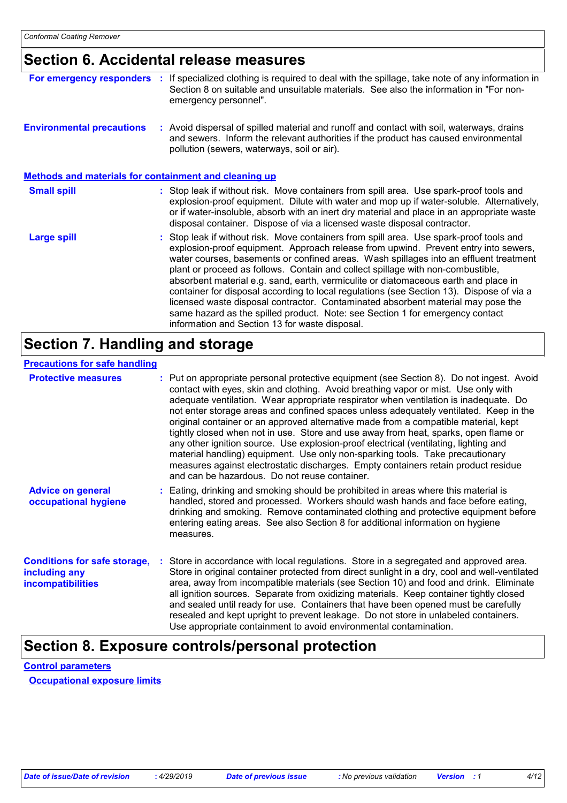# **Section 6. Accidental release measures**

| For emergency responders                                     | If specialized clothing is required to deal with the spillage, take note of any information in<br>Section 8 on suitable and unsuitable materials. See also the information in "For non-<br>emergency personnel".                                                                                                                                                                                                                                                                                                                                                                                                                                                                                                                                                     |
|--------------------------------------------------------------|----------------------------------------------------------------------------------------------------------------------------------------------------------------------------------------------------------------------------------------------------------------------------------------------------------------------------------------------------------------------------------------------------------------------------------------------------------------------------------------------------------------------------------------------------------------------------------------------------------------------------------------------------------------------------------------------------------------------------------------------------------------------|
| <b>Environmental precautions</b>                             | : Avoid dispersal of spilled material and runoff and contact with soil, waterways, drains<br>and sewers. Inform the relevant authorities if the product has caused environmental<br>pollution (sewers, waterways, soil or air).                                                                                                                                                                                                                                                                                                                                                                                                                                                                                                                                      |
| <b>Methods and materials for containment and cleaning up</b> |                                                                                                                                                                                                                                                                                                                                                                                                                                                                                                                                                                                                                                                                                                                                                                      |
| <b>Small spill</b>                                           | : Stop leak if without risk. Move containers from spill area. Use spark-proof tools and<br>explosion-proof equipment. Dilute with water and mop up if water-soluble. Alternatively,<br>or if water-insoluble, absorb with an inert dry material and place in an appropriate waste<br>disposal container. Dispose of via a licensed waste disposal contractor.                                                                                                                                                                                                                                                                                                                                                                                                        |
| <b>Large spill</b>                                           | : Stop leak if without risk. Move containers from spill area. Use spark-proof tools and<br>explosion-proof equipment. Approach release from upwind. Prevent entry into sewers,<br>water courses, basements or confined areas. Wash spillages into an effluent treatment<br>plant or proceed as follows. Contain and collect spillage with non-combustible,<br>absorbent material e.g. sand, earth, vermiculite or diatomaceous earth and place in<br>container for disposal according to local regulations (see Section 13). Dispose of via a<br>licensed waste disposal contractor. Contaminated absorbent material may pose the<br>same hazard as the spilled product. Note: see Section 1 for emergency contact<br>information and Section 13 for waste disposal. |

# **Section 7. Handling and storage**

#### **Precautions for safe handling**

| <b>Protective measures</b>                                                       | : Put on appropriate personal protective equipment (see Section 8). Do not ingest. Avoid<br>contact with eyes, skin and clothing. Avoid breathing vapor or mist. Use only with<br>adequate ventilation. Wear appropriate respirator when ventilation is inadequate. Do<br>not enter storage areas and confined spaces unless adequately ventilated. Keep in the<br>original container or an approved alternative made from a compatible material, kept<br>tightly closed when not in use. Store and use away from heat, sparks, open flame or<br>any other ignition source. Use explosion-proof electrical (ventilating, lighting and<br>material handling) equipment. Use only non-sparking tools. Take precautionary<br>measures against electrostatic discharges. Empty containers retain product residue<br>and can be hazardous. Do not reuse container. |  |
|----------------------------------------------------------------------------------|---------------------------------------------------------------------------------------------------------------------------------------------------------------------------------------------------------------------------------------------------------------------------------------------------------------------------------------------------------------------------------------------------------------------------------------------------------------------------------------------------------------------------------------------------------------------------------------------------------------------------------------------------------------------------------------------------------------------------------------------------------------------------------------------------------------------------------------------------------------|--|
| <b>Advice on general</b><br>occupational hygiene                                 | Eating, drinking and smoking should be prohibited in areas where this material is<br>handled, stored and processed. Workers should wash hands and face before eating,<br>drinking and smoking. Remove contaminated clothing and protective equipment before<br>entering eating areas. See also Section 8 for additional information on hygiene<br>measures.                                                                                                                                                                                                                                                                                                                                                                                                                                                                                                   |  |
| <b>Conditions for safe storage,</b><br>including any<br><i>incompatibilities</i> | Store in accordance with local regulations. Store in a segregated and approved area.<br>Store in original container protected from direct sunlight in a dry, cool and well-ventilated<br>area, away from incompatible materials (see Section 10) and food and drink. Eliminate<br>all ignition sources. Separate from oxidizing materials. Keep container tightly closed<br>and sealed until ready for use. Containers that have been opened must be carefully<br>resealed and kept upright to prevent leakage. Do not store in unlabeled containers.<br>Use appropriate containment to avoid environmental contamination.                                                                                                                                                                                                                                    |  |

### **Section 8. Exposure controls/personal protection**

### **Control parameters Occupational exposure limits**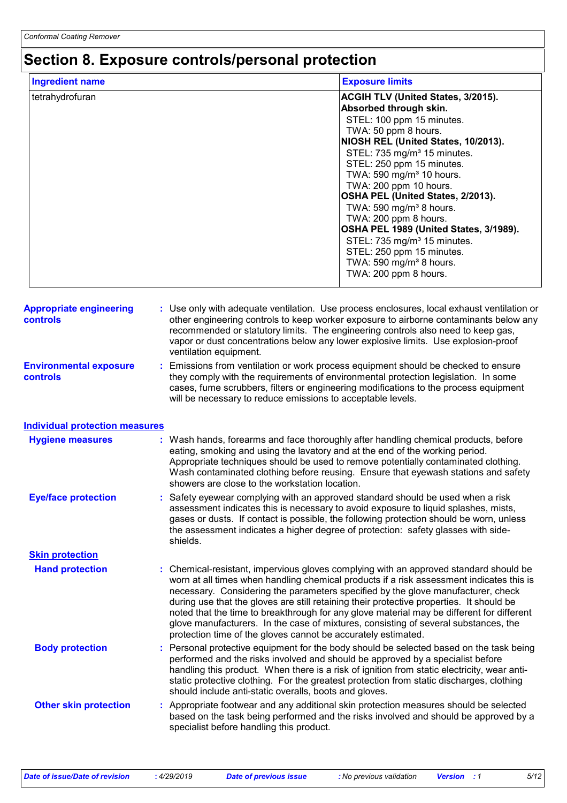# **Section 8. Exposure controls/personal protection**

| <b>Ingredient name</b> | <b>Exposure limits</b>                    |
|------------------------|-------------------------------------------|
| tetrahydrofuran        | <b>ACGIH TLV (United States, 3/2015).</b> |
|                        | Absorbed through skin.                    |
|                        | STEL: 100 ppm 15 minutes.                 |
|                        | TWA: 50 ppm 8 hours.                      |
|                        | NIOSH REL (United States, 10/2013).       |
|                        | STEL: 735 mg/m <sup>3</sup> 15 minutes.   |
|                        | STEL: 250 ppm 15 minutes.                 |
|                        | TWA: 590 mg/m <sup>3</sup> 10 hours.      |
|                        | TWA: 200 ppm 10 hours.                    |
|                        | OSHA PEL (United States, 2/2013).         |
|                        | TWA: 590 mg/m <sup>3</sup> 8 hours.       |
|                        | TWA: 200 ppm 8 hours.                     |
|                        | OSHA PEL 1989 (United States, 3/1989).    |
|                        | STEL: 735 mg/m <sup>3</sup> 15 minutes.   |
|                        | STEL: 250 ppm 15 minutes.                 |
|                        | TWA: 590 mg/m <sup>3</sup> 8 hours.       |
|                        | TWA: 200 ppm 8 hours.                     |
|                        |                                           |

| <b>Appropriate engineering</b><br><b>controls</b> | : Use only with adequate ventilation. Use process enclosures, local exhaust ventilation or<br>other engineering controls to keep worker exposure to airborne contaminants below any<br>recommended or statutory limits. The engineering controls also need to keep gas,<br>vapor or dust concentrations below any lower explosive limits. Use explosion-proof<br>ventilation equipment.                                                                                                                                                                                                                                |
|---------------------------------------------------|------------------------------------------------------------------------------------------------------------------------------------------------------------------------------------------------------------------------------------------------------------------------------------------------------------------------------------------------------------------------------------------------------------------------------------------------------------------------------------------------------------------------------------------------------------------------------------------------------------------------|
| <b>Environmental exposure</b><br><b>controls</b>  | : Emissions from ventilation or work process equipment should be checked to ensure<br>they comply with the requirements of environmental protection legislation. In some<br>cases, fume scrubbers, filters or engineering modifications to the process equipment<br>will be necessary to reduce emissions to acceptable levels.                                                                                                                                                                                                                                                                                        |
| <b>Individual protection measures</b>             |                                                                                                                                                                                                                                                                                                                                                                                                                                                                                                                                                                                                                        |
| <b>Hygiene measures</b>                           | : Wash hands, forearms and face thoroughly after handling chemical products, before<br>eating, smoking and using the lavatory and at the end of the working period.<br>Appropriate techniques should be used to remove potentially contaminated clothing.<br>Wash contaminated clothing before reusing. Ensure that eyewash stations and safety<br>showers are close to the workstation location.                                                                                                                                                                                                                      |
| <b>Eye/face protection</b>                        | : Safety eyewear complying with an approved standard should be used when a risk<br>assessment indicates this is necessary to avoid exposure to liquid splashes, mists,<br>gases or dusts. If contact is possible, the following protection should be worn, unless<br>the assessment indicates a higher degree of protection: safety glasses with side-<br>shields.                                                                                                                                                                                                                                                     |
| <b>Skin protection</b>                            |                                                                                                                                                                                                                                                                                                                                                                                                                                                                                                                                                                                                                        |
| <b>Hand protection</b>                            | : Chemical-resistant, impervious gloves complying with an approved standard should be<br>worn at all times when handling chemical products if a risk assessment indicates this is<br>necessary. Considering the parameters specified by the glove manufacturer, check<br>during use that the gloves are still retaining their protective properties. It should be<br>noted that the time to breakthrough for any glove material may be different for different<br>glove manufacturers. In the case of mixtures, consisting of several substances, the<br>protection time of the gloves cannot be accurately estimated. |
| <b>Body protection</b>                            | : Personal protective equipment for the body should be selected based on the task being<br>performed and the risks involved and should be approved by a specialist before<br>handling this product. When there is a risk of ignition from static electricity, wear anti-<br>static protective clothing. For the greatest protection from static discharges, clothing<br>should include anti-static overalls, boots and gloves.                                                                                                                                                                                         |
| <b>Other skin protection</b>                      | : Appropriate footwear and any additional skin protection measures should be selected<br>based on the task being performed and the risks involved and should be approved by a<br>specialist before handling this product.                                                                                                                                                                                                                                                                                                                                                                                              |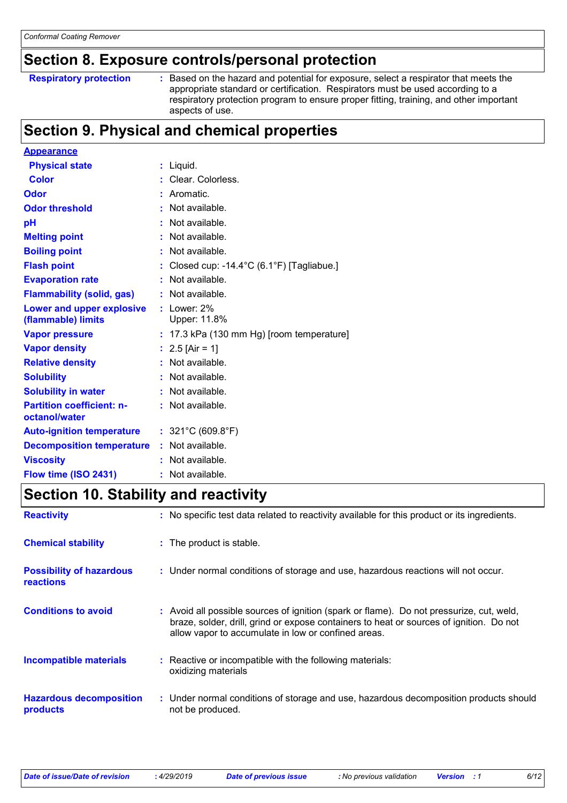### **Section 8. Exposure controls/personal protection**

```
Respiratory protection :
```
Based on the hazard and potential for exposure, select a respirator that meets the appropriate standard or certification. Respirators must be used according to a respiratory protection program to ensure proper fitting, training, and other important aspects of use.

# **Section 9. Physical and chemical properties**

| <b>Appearance</b>                                 |    |                                             |
|---------------------------------------------------|----|---------------------------------------------|
| <b>Physical state</b>                             |    | $:$ Liquid.                                 |
| <b>Color</b>                                      |    | : Clear. Colorless.                         |
| Odor                                              |    | Aromatic.                                   |
| <b>Odor threshold</b>                             |    | : Not available.                            |
| рH                                                |    | Not available.                              |
| <b>Melting point</b>                              |    | Not available.                              |
| <b>Boiling point</b>                              |    | : Not available.                            |
| <b>Flash point</b>                                |    | Closed cup: -14.4°C (6.1°F) [Tagliabue.]    |
| <b>Evaporation rate</b>                           |    | Not available.                              |
| <b>Flammability (solid, gas)</b>                  |    | Not available.                              |
| Lower and upper explosive<br>(flammable) limits   |    | $:$ Lower: 2%<br>Upper: 11.8%               |
| <b>Vapor pressure</b>                             |    | $: 17.3$ kPa (130 mm Hg) [room temperature] |
| <b>Vapor density</b>                              |    | : $2.5$ [Air = 1]                           |
| <b>Relative density</b>                           |    | Not available.                              |
| <b>Solubility</b>                                 |    | $:$ Not available.                          |
| <b>Solubility in water</b>                        |    | : Not available.                            |
| <b>Partition coefficient: n-</b><br>octanol/water |    | $:$ Not available.                          |
| <b>Auto-ignition temperature</b>                  |    | : $321^{\circ}$ C (609.8 $^{\circ}$ F)      |
| <b>Decomposition temperature</b>                  | ÷. | Not available.                              |
| <b>Viscosity</b>                                  |    | Not available.                              |
| Flow time (ISO 2431)                              |    | Not available.                              |

### **Section 10. Stability and reactivity**

| <b>Reactivity</b>                                   | : No specific test data related to reactivity available for this product or its ingredients.                                                                                                                                               |
|-----------------------------------------------------|--------------------------------------------------------------------------------------------------------------------------------------------------------------------------------------------------------------------------------------------|
| <b>Chemical stability</b>                           | : The product is stable.                                                                                                                                                                                                                   |
| <b>Possibility of hazardous</b><br><b>reactions</b> | : Under normal conditions of storage and use, hazardous reactions will not occur.                                                                                                                                                          |
| <b>Conditions to avoid</b>                          | : Avoid all possible sources of ignition (spark or flame). Do not pressurize, cut, weld,<br>braze, solder, drill, grind or expose containers to heat or sources of ignition. Do not<br>allow vapor to accumulate in low or confined areas. |
| <b>Incompatible materials</b>                       | : Reactive or incompatible with the following materials:<br>oxidizing materials                                                                                                                                                            |
| <b>Hazardous decomposition</b><br>products          | : Under normal conditions of storage and use, hazardous decomposition products should<br>not be produced.                                                                                                                                  |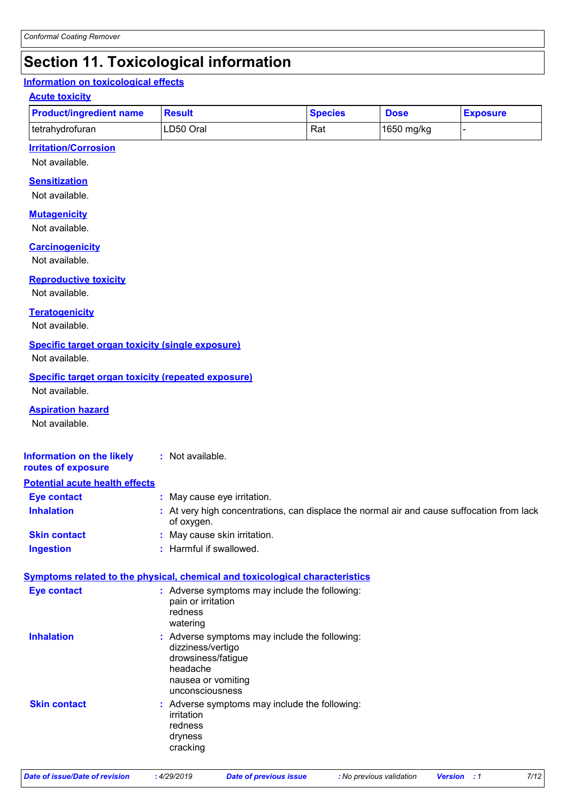# **Section 11. Toxicological information**

### **Information on toxicological effects**

### **Acute toxicity**

| <b>Product/ingredient name</b> | <b>Result</b> | <b>Species</b> | <b>Dose</b> | <b>Exposure</b> |
|--------------------------------|---------------|----------------|-------------|-----------------|
| l tetrahydrofuran              | LD50 Oral     | Rat            | 1650 mg/kg  |                 |

### **Irritation/Corrosion**

Not available.

### **Sensitization**

Not available.

### **Mutagenicity**

Not available.

#### **Carcinogenicity**

Not available.

### **Reproductive toxicity**

Not available.

### **Teratogenicity**

Not available.

### **Specific target organ toxicity (single exposure)**

Not available.

### **Specific target organ toxicity (repeated exposure)**

Not available.

### **Aspiration hazard**

Not available.

#### **Information on the likely :** Not available.

**routes of exposure Potential acute health effects**

| Eye contact         | : May cause eye irritation.                                                                              |
|---------------------|----------------------------------------------------------------------------------------------------------|
| <b>Inhalation</b>   | . At very high concentrations, can displace the normal air and cause suffocation from lack<br>of oxygen. |
| <b>Skin contact</b> | : May cause skin irritation.                                                                             |
| <b>Ingestion</b>    | : Harmful if swallowed.                                                                                  |

### **Symptoms related to the physical, chemical and toxicological characteristics**

| <b>Eye contact</b>  | : Adverse symptoms may include the following:<br>pain or irritation<br>redness<br>watering                                                    |
|---------------------|-----------------------------------------------------------------------------------------------------------------------------------------------|
| <b>Inhalation</b>   | : Adverse symptoms may include the following:<br>dizziness/vertigo<br>drowsiness/fatigue<br>headache<br>nausea or vomiting<br>unconsciousness |
| <b>Skin contact</b> | : Adverse symptoms may include the following:<br>irritation<br>redness<br>dryness<br>cracking                                                 |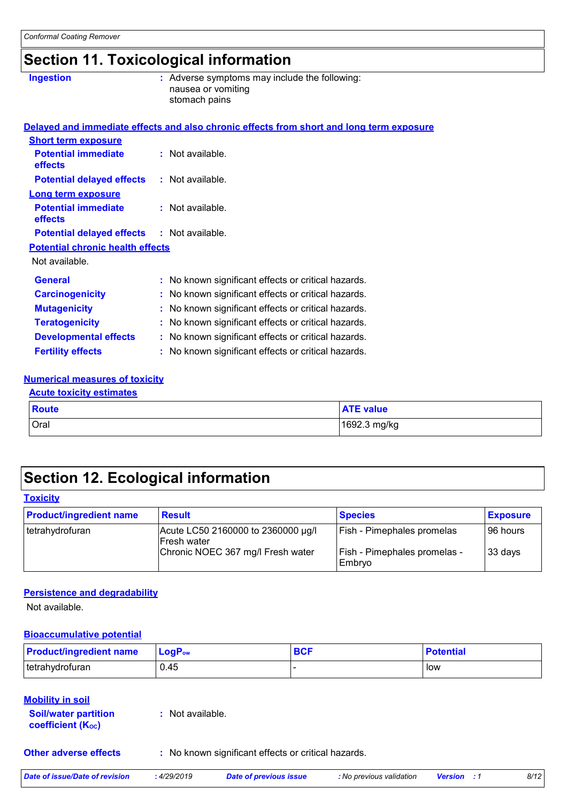# **Section 11. Toxicological information**

| <b>Ingestion</b>                        | : Adverse symptoms may include the following:<br>nausea or vomiting<br>stomach pains     |
|-----------------------------------------|------------------------------------------------------------------------------------------|
|                                         | Delayed and immediate effects and also chronic effects from short and long term exposure |
| <b>Short term exposure</b>              |                                                                                          |
| <b>Potential immediate</b><br>effects   | : Not available.                                                                         |
| <b>Potential delayed effects</b>        | $:$ Not available.                                                                       |
| <b>Long term exposure</b>               |                                                                                          |
| <b>Potential immediate</b><br>effects   | : Not available.                                                                         |
| <b>Potential delayed effects</b>        | $:$ Not available.                                                                       |
| <b>Potential chronic health effects</b> |                                                                                          |
| Not available.                          |                                                                                          |
| <b>General</b>                          | : No known significant effects or critical hazards.                                      |
| <b>Carcinogenicity</b>                  | : No known significant effects or critical hazards.                                      |
| <b>Mutagenicity</b>                     | : No known significant effects or critical hazards.                                      |
| <b>Teratogenicity</b>                   | : No known significant effects or critical hazards.                                      |
| <b>Developmental effects</b>            | : No known significant effects or critical hazards.                                      |
| <b>Fertility effects</b>                | : No known significant effects or critical hazards.                                      |
|                                         |                                                                                          |

#### **Numerical measures of toxicity Acute toxicity estimates**

| <b>ACULE LUAIGILY ESUILIQUES</b> |       |                  |
|----------------------------------|-------|------------------|
|                                  | Route | <b>ATE value</b> |
|                                  | Oral  | 1692.3 mg/kg     |

# **Section 12. Ecological information**

| <b>Toxicity</b> |  |
|-----------------|--|
|-----------------|--|

| <b>Product/ingredient name</b> | <b>Result</b>                                            | <b>Species</b>                         | <b>Exposure</b> |
|--------------------------------|----------------------------------------------------------|----------------------------------------|-----------------|
| tetrahydrofuran                | Acute LC50 2160000 to 2360000 µg/l<br><b>Fresh water</b> | Fish - Pimephales promelas             | 96 hours        |
|                                | Chronic NOEC 367 mg/l Fresh water                        | Fish - Pimephales promelas -<br>Embryo | 33 days         |

### **Persistence and degradability**

Not available.

### **Bioaccumulative potential**

| <b>Product/ingredient name</b> | <b>LoaP</b> <sub>ow</sub> | <b>BCI</b> | <b>Potential</b> |
|--------------------------------|---------------------------|------------|------------------|
| tetrahydrofuran                | 0.45                      |            | low              |

### **Mobility in soil**

| <b>Soil/water partition</b> | : Not available. |
|-----------------------------|------------------|
| <b>coefficient (Koc)</b>    |                  |
|                             |                  |

**Other adverse effects** : No known significant effects or critical hazards.

| Date of issue/Date of revision | 4/29/2019 | Date of previous issue | : No previous validation | Version | 8/12 |
|--------------------------------|-----------|------------------------|--------------------------|---------|------|
|                                |           |                        |                          |         |      |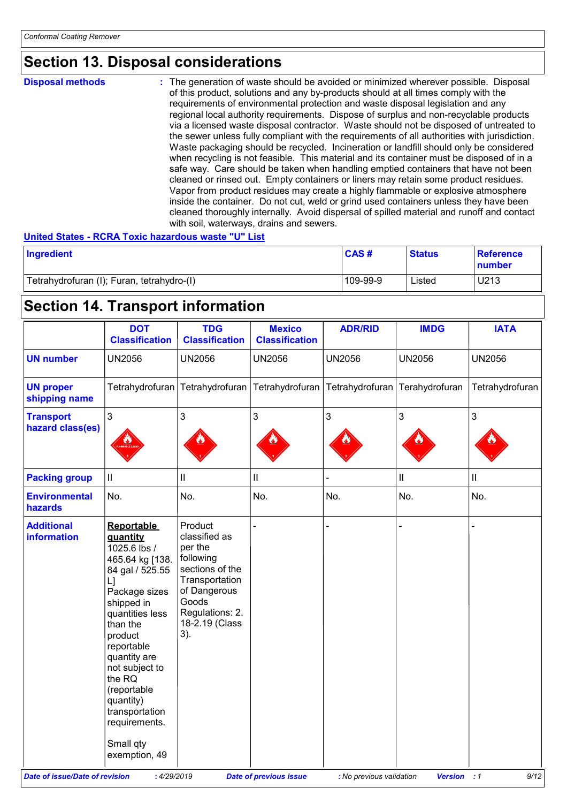### **Section 13. Disposal considerations**

**Disposal methods :**

The generation of waste should be avoided or minimized wherever possible. Disposal of this product, solutions and any by-products should at all times comply with the requirements of environmental protection and waste disposal legislation and any regional local authority requirements. Dispose of surplus and non-recyclable products via a licensed waste disposal contractor. Waste should not be disposed of untreated to the sewer unless fully compliant with the requirements of all authorities with jurisdiction. Waste packaging should be recycled. Incineration or landfill should only be considered when recycling is not feasible. This material and its container must be disposed of in a safe way. Care should be taken when handling emptied containers that have not been cleaned or rinsed out. Empty containers or liners may retain some product residues. Vapor from product residues may create a highly flammable or explosive atmosphere inside the container. Do not cut, weld or grind used containers unless they have been cleaned thoroughly internally. Avoid dispersal of spilled material and runoff and contact with soil, waterways, drains and sewers.

### **United States - RCRA Toxic hazardous waste "U" List**

| Ingredient                                 | CAS#     | <b>Status</b> | <b>Reference</b><br>number |
|--------------------------------------------|----------|---------------|----------------------------|
| Tetrahydrofuran (I); Furan, tetrahydro-(I) | 109-99-9 | Listed        | U213                       |

# **Section 14. Transport information**

|                                         | <b>DOT</b><br><b>Classification</b>                                                                                                                                                                                                                                                                                       | <b>TDG</b><br><b>Classification</b>                                                                                                                        | <b>Mexico</b><br><b>Classification</b> | <b>ADR/RID</b>                 | <b>IMDG</b>                | <b>IATA</b>     |
|-----------------------------------------|---------------------------------------------------------------------------------------------------------------------------------------------------------------------------------------------------------------------------------------------------------------------------------------------------------------------------|------------------------------------------------------------------------------------------------------------------------------------------------------------|----------------------------------------|--------------------------------|----------------------------|-----------------|
| <b>UN number</b>                        | <b>UN2056</b>                                                                                                                                                                                                                                                                                                             | <b>UN2056</b>                                                                                                                                              | <b>UN2056</b>                          | <b>UN2056</b>                  | <b>UN2056</b>              | <b>UN2056</b>   |
| <b>UN proper</b><br>shipping name       |                                                                                                                                                                                                                                                                                                                           | Tetrahydrofuran Tetrahydrofuran                                                                                                                            | Tetrahydrofuran                        | Tetrahydrofuran Terahydrofuran |                            | Tetrahydrofuran |
| <b>Transport</b><br>hazard class(es)    | 3                                                                                                                                                                                                                                                                                                                         | 3                                                                                                                                                          | 3                                      | $\mathfrak{S}$                 | 3                          | 3               |
| <b>Packing group</b>                    | $\mathbf{II}$                                                                                                                                                                                                                                                                                                             | $\ensuremath{\mathsf{II}}$                                                                                                                                 | $\mathbf{I}$                           |                                | $\ensuremath{\mathsf{II}}$ | $\mathbf{II}$   |
| <b>Environmental</b><br>hazards         | No.                                                                                                                                                                                                                                                                                                                       | No.                                                                                                                                                        | No.                                    | No.                            | No.                        | No.             |
| <b>Additional</b><br><b>information</b> | <b>Reportable</b><br>quantity<br>1025.6 lbs /<br>465.64 kg [138.<br>84 gal / 525.55<br>L1<br>Package sizes<br>shipped in<br>quantities less<br>than the<br>product<br>reportable<br>quantity are<br>not subject to<br>the RQ<br>(reportable<br>quantity)<br>transportation<br>requirements.<br>Small qty<br>exemption, 49 | Product<br>classified as<br>per the<br>following<br>sections of the<br>Transportation<br>of Dangerous<br>Goods<br>Regulations: 2.<br>18-2.19 (Class<br>3). |                                        |                                |                            |                 |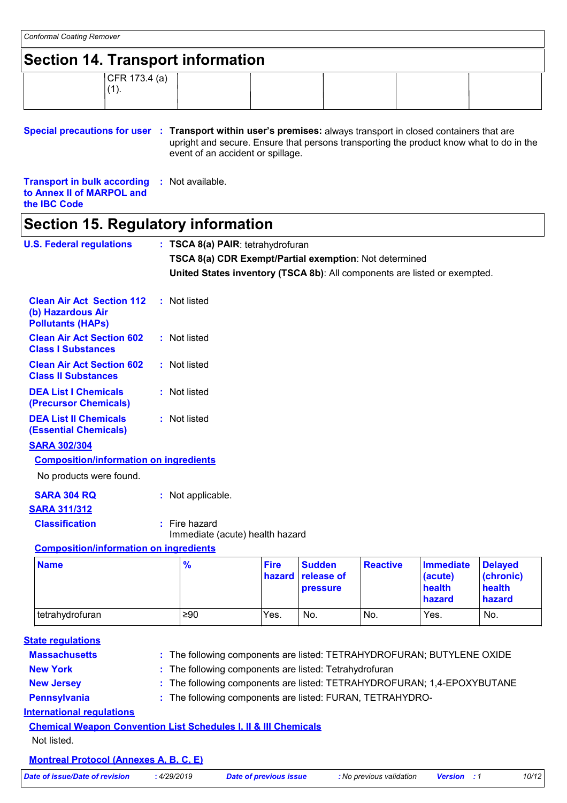### **Section 14. Transport information**

| CFR 173.4 (a)       |  |  |  |
|---------------------|--|--|--|
| $\overline{A}$<br>. |  |  |  |
|                     |  |  |  |

### **Special precautions for user Transport within user's premises:** always transport in closed containers that are **:** upright and secure. Ensure that persons transporting the product know what to do in the event of an accident or spillage.

**Transport in bulk according :** Not available. **to Annex II of MARPOL and the IBC Code**

### **Section 15. Regulatory information**

| <b>U.S. Federal regulations</b>                                                   | : TSCA 8(a) PAIR: tetrahydrofuran                                         |                       |                                                |                 |                                                 |                                                 |
|-----------------------------------------------------------------------------------|---------------------------------------------------------------------------|-----------------------|------------------------------------------------|-----------------|-------------------------------------------------|-------------------------------------------------|
|                                                                                   | TSCA 8(a) CDR Exempt/Partial exemption: Not determined                    |                       |                                                |                 |                                                 |                                                 |
|                                                                                   | United States inventory (TSCA 8b): All components are listed or exempted. |                       |                                                |                 |                                                 |                                                 |
| <b>Clean Air Act Section 112</b><br>(b) Hazardous Air<br><b>Pollutants (HAPs)</b> | : Not listed                                                              |                       |                                                |                 |                                                 |                                                 |
| <b>Clean Air Act Section 602</b><br><b>Class I Substances</b>                     | : Not listed                                                              |                       |                                                |                 |                                                 |                                                 |
| <b>Clean Air Act Section 602</b><br><b>Class II Substances</b>                    | : Not listed                                                              |                       |                                                |                 |                                                 |                                                 |
| <b>DEA List I Chemicals</b><br>(Precursor Chemicals)                              | : Not listed                                                              |                       |                                                |                 |                                                 |                                                 |
| <b>DEA List II Chemicals</b><br><b>(Essential Chemicals)</b>                      | : Not listed                                                              |                       |                                                |                 |                                                 |                                                 |
| <b>SARA 302/304</b>                                                               |                                                                           |                       |                                                |                 |                                                 |                                                 |
| <b>Composition/information on ingredients</b>                                     |                                                                           |                       |                                                |                 |                                                 |                                                 |
| No products were found.                                                           |                                                                           |                       |                                                |                 |                                                 |                                                 |
| <b>SARA 304 RQ</b>                                                                | : Not applicable.                                                         |                       |                                                |                 |                                                 |                                                 |
| <b>SARA 311/312</b>                                                               |                                                                           |                       |                                                |                 |                                                 |                                                 |
| <b>Classification</b>                                                             | $:$ Fire hazard<br>Immediate (acute) health hazard                        |                       |                                                |                 |                                                 |                                                 |
| <b>Composition/information on ingredients</b>                                     |                                                                           |                       |                                                |                 |                                                 |                                                 |
| <b>Name</b>                                                                       | $\frac{9}{6}$                                                             | <b>Fire</b><br>hazard | <b>Sudden</b><br>release of<br><b>pressure</b> | <b>Reactive</b> | <b>Immediate</b><br>(acute)<br>health<br>hazard | <b>Delayed</b><br>(chronic)<br>health<br>hazard |
| tetrahydrofuran                                                                   | ≥90                                                                       | Yes.                  | No.                                            | No.             | Yes.                                            | No.                                             |
| <b>State requlations</b>                                                          |                                                                           |                       |                                                |                 |                                                 |                                                 |
| <b>Massachusetts</b>                                                              | : The following components are listed: TETRAHYDROFURAN; BUTYLENE OXIDE    |                       |                                                |                 |                                                 |                                                 |
| <b>New York</b>                                                                   | : The following components are listed: Tetrahydrofuran                    |                       |                                                |                 |                                                 |                                                 |
| <b>New Jersey</b>                                                                 | The following components are listed: TETRAHYDROFURAN; 1,4-EPOXYBUTANE     |                       |                                                |                 |                                                 |                                                 |

**Pennsylvania :** The following components are listed: FURAN, TETRAHYDRO-

### **International regulations**

### **Chemical Weapon Convention List Schedules I, II & III Chemicals** Not listed.

### **Montreal Protocol (Annexes A, B, C, E)**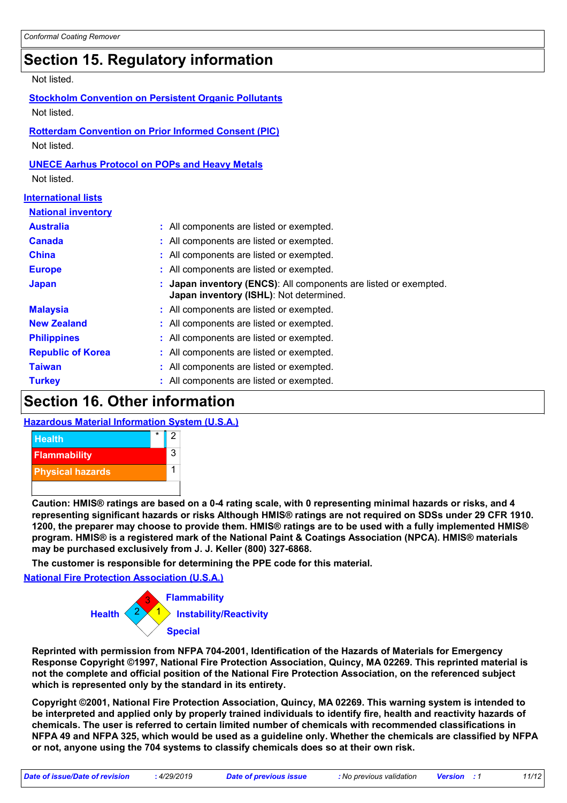# **Section 15. Regulatory information**

Not listed.

| <b>Stockholm Convention on Persistent Organic Pollutants</b> |  |
|--------------------------------------------------------------|--|
| Not listed.                                                  |  |
| <b>Rotterdam Convention on Prior Informed Consent (PIC)</b>  |  |

Not listed.

### **UNECE Aarhus Protocol on POPs and Heavy Metals** Not listed.

|  | <b>nternational lists</b> |  |
|--|---------------------------|--|
|  |                           |  |

| <b>National inventory</b> |                                                                                                             |
|---------------------------|-------------------------------------------------------------------------------------------------------------|
| <b>Australia</b>          | : All components are listed or exempted.                                                                    |
| <b>Canada</b>             | : All components are listed or exempted.                                                                    |
| <b>China</b>              | : All components are listed or exempted.                                                                    |
| <b>Europe</b>             | : All components are listed or exempted.                                                                    |
| <b>Japan</b>              | : Japan inventory (ENCS): All components are listed or exempted.<br>Japan inventory (ISHL): Not determined. |
| <b>Malaysia</b>           | : All components are listed or exempted.                                                                    |
| <b>New Zealand</b>        | : All components are listed or exempted.                                                                    |
| <b>Philippines</b>        | : All components are listed or exempted.                                                                    |
| <b>Republic of Korea</b>  | : All components are listed or exempted.                                                                    |
| <b>Taiwan</b>             | : All components are listed or exempted.                                                                    |
| <b>Turkey</b>             | : All components are listed or exempted.                                                                    |

### **Section 16. Other information**

### **Hazardous Material Information System (U.S.A.)**



**Caution: HMIS® ratings are based on a 0-4 rating scale, with 0 representing minimal hazards or risks, and 4 representing significant hazards or risks Although HMIS® ratings are not required on SDSs under 29 CFR 1910. 1200, the preparer may choose to provide them. HMIS® ratings are to be used with a fully implemented HMIS® program. HMIS® is a registered mark of the National Paint & Coatings Association (NPCA). HMIS® materials may be purchased exclusively from J. J. Keller (800) 327-6868.**

**The customer is responsible for determining the PPE code for this material.**

**National Fire Protection Association (U.S.A.)**



**Reprinted with permission from NFPA 704-2001, Identification of the Hazards of Materials for Emergency Response Copyright ©1997, National Fire Protection Association, Quincy, MA 02269. This reprinted material is not the complete and official position of the National Fire Protection Association, on the referenced subject which is represented only by the standard in its entirety.**

**Copyright ©2001, National Fire Protection Association, Quincy, MA 02269. This warning system is intended to be interpreted and applied only by properly trained individuals to identify fire, health and reactivity hazards of chemicals. The user is referred to certain limited number of chemicals with recommended classifications in NFPA 49 and NFPA 325, which would be used as a guideline only. Whether the chemicals are classified by NFPA or not, anyone using the 704 systems to classify chemicals does so at their own risk.**